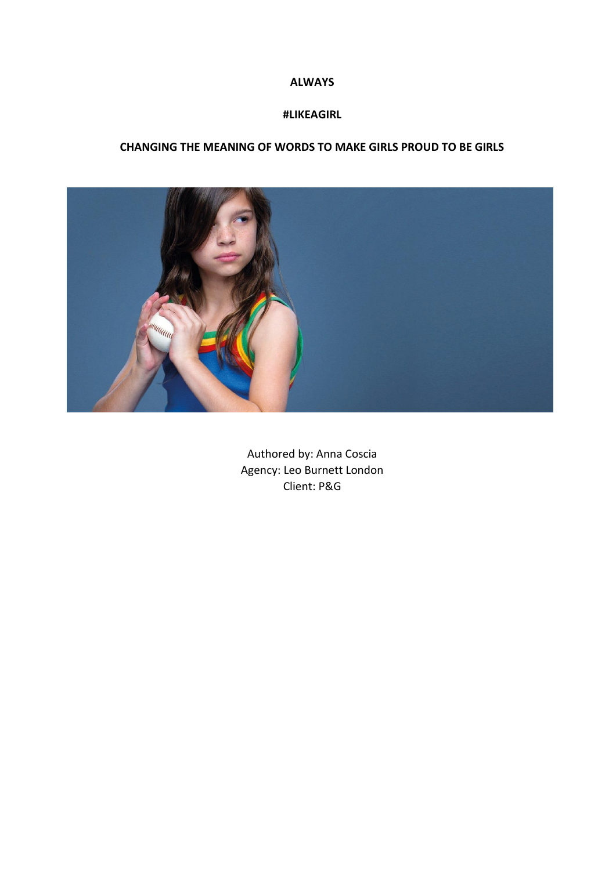#### **ALWAYS**

#### **#LIKEAGIRL**

### **CHANGING THE MEANING OF WORDS TO MAKE GIRLS PROUD TO BE GIRLS**



Authored by: Anna Coscia Agency: Leo Burnett London Client: P&G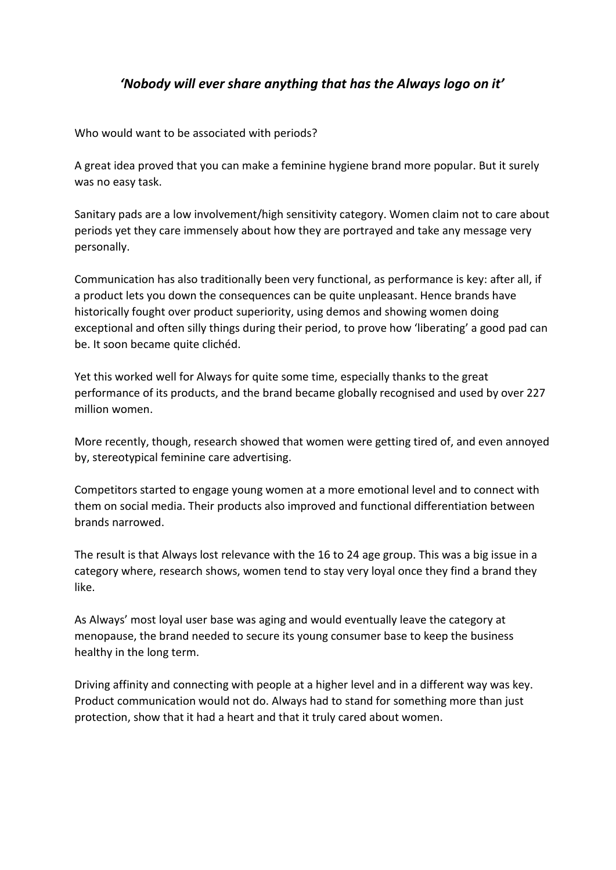# *'Nobody will ever share anything that has the Always logo on it'*

Who would want to be associated with periods?

A great idea proved that you can make a feminine hygiene brand more popular. But it surely was no easy task.

Sanitary pads are a low involvement/high sensitivity category. Women claim not to care about periods yet they care immensely about how they are portrayed and take any message very personally.

Communication has also traditionally been very functional, as performance is key: after all, if a product lets you down the consequences can be quite unpleasant. Hence brands have historically fought over product superiority, using demos and showing women doing exceptional and often silly things during their period, to prove how 'liberating' a good pad can be. It soon became quite clichéd.

Yet this worked well for Always for quite some time, especially thanks to the great performance of its products, and the brand became globally recognised and used by over 227 million women.

More recently, though, research showed that women were getting tired of, and even annoyed by, stereotypical feminine care advertising.

Competitors started to engage young women at a more emotional level and to connect with them on social media. Their products also improved and functional differentiation between brands narrowed.

The result is that Always lost relevance with the 16 to 24 age group. This was a big issue in a category where, research shows, women tend to stay very loyal once they find a brand they like.

As Always' most loyal user base was aging and would eventually leave the category at menopause, the brand needed to secure its young consumer base to keep the business healthy in the long term.

Driving affinity and connecting with people at a higher level and in a different way was key. Product communication would not do. Always had to stand for something more than just protection, show that it had a heart and that it truly cared about women.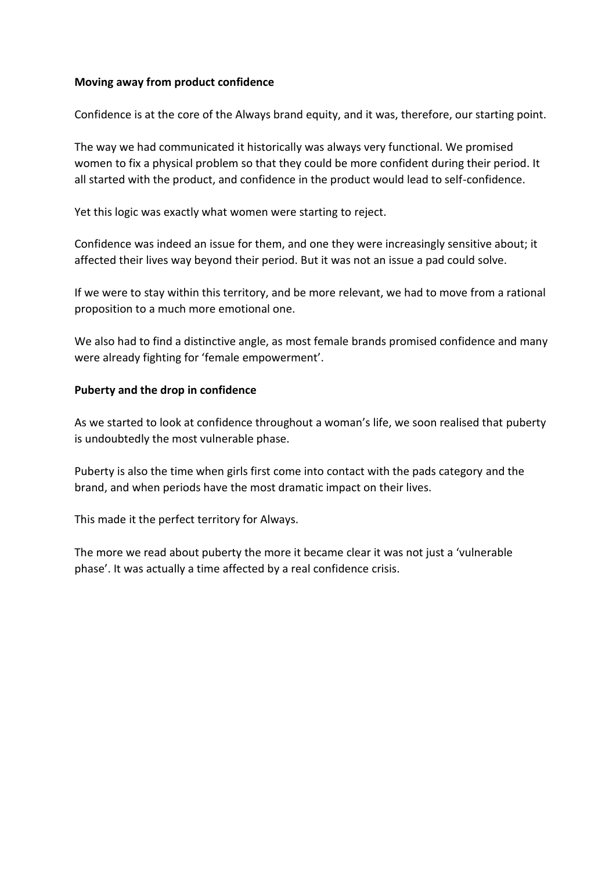### **Moving away from product confidence**

Confidence is at the core of the Always brand equity, and it was, therefore, our starting point.

The way we had communicated it historically was always very functional. We promised women to fix a physical problem so that they could be more confident during their period. It all started with the product, and confidence in the product would lead to self-confidence.

Yet this logic was exactly what women were starting to reject.

Confidence was indeed an issue for them, and one they were increasingly sensitive about; it affected their lives way beyond their period. But it was not an issue a pad could solve.

If we were to stay within this territory, and be more relevant, we had to move from a rational proposition to a much more emotional one.

We also had to find a distinctive angle, as most female brands promised confidence and many were already fighting for 'female empowerment'.

#### **Puberty and the drop in confidence**

As we started to look at confidence throughout a woman's life, we soon realised that puberty is undoubtedly the most vulnerable phase.

Puberty is also the time when girls first come into contact with the pads category and the brand, and when periods have the most dramatic impact on their lives.

This made it the perfect territory for Always.

The more we read about puberty the more it became clear it was not just a 'vulnerable phase'. It was actually a time affected by a real confidence crisis.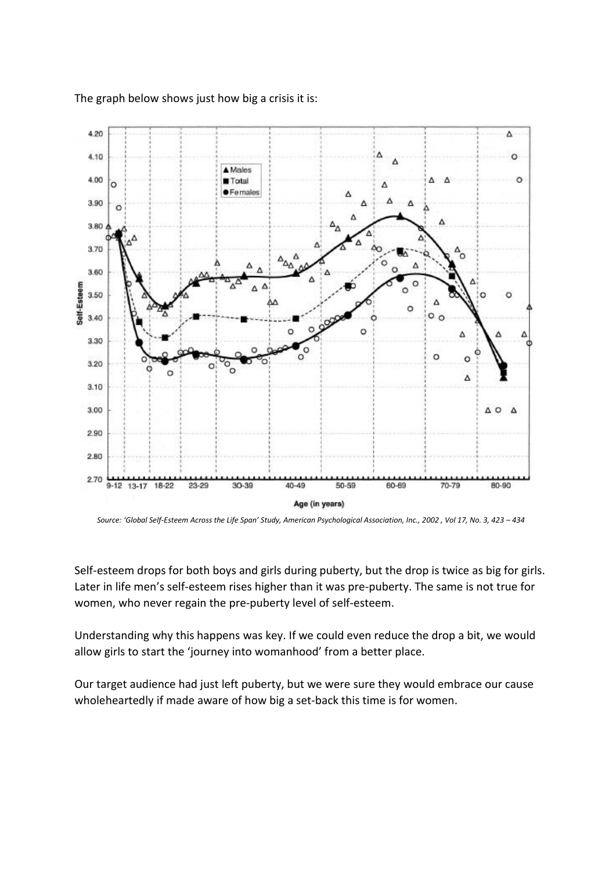

The graph below shows just how big a crisis it is:

Self-esteem drops for both boys and girls during puberty, but the drop is twice as big for girls. Later in life men's self-esteem rises higher than it was pre-puberty. The same is not true for women, who never regain the pre-puberty level of self-esteem.

Understanding why this happens was key. If we could even reduce the drop a bit, we would allow girls to start the 'journey into womanhood' from a better place.

Our target audience had just left puberty, but we were sure they would embrace our cause wholeheartedly if made aware of how big a set-back this time is for women.

*Source: 'Global Self-Esteem Across the Life Span' Study, American Psychological Association, Inc., 2002 , Vol 17, No. 3, 423 – 434*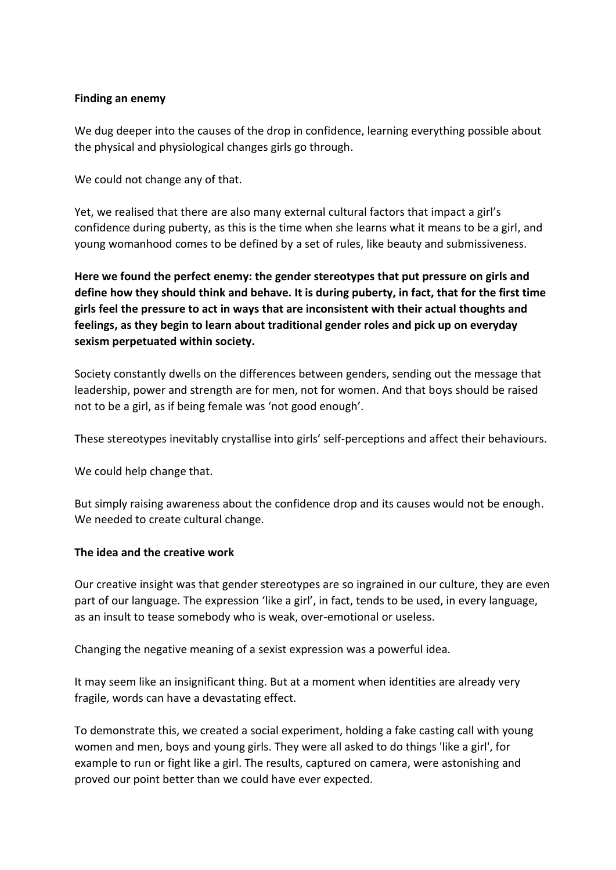### **Finding an enemy**

We dug deeper into the causes of the drop in confidence, learning everything possible about the physical and physiological changes girls go through.

We could not change any of that.

Yet, we realised that there are also many external cultural factors that impact a girl's confidence during puberty, as this is the time when she learns what it means to be a girl, and young womanhood comes to be defined by a set of rules, like beauty and submissiveness.

**Here we found the perfect enemy: the gender stereotypes that put pressure on girls and define how they should think and behave. It is during puberty, in fact, that for the first time girls feel the pressure to act in ways that are inconsistent with their actual thoughts and feelings, as they begin to learn about traditional gender roles and pick up on everyday sexism perpetuated within society.**

Society constantly dwells on the differences between genders, sending out the message that leadership, power and strength are for men, not for women. And that boys should be raised not to be a girl, as if being female was 'not good enough'.

These stereotypes inevitably crystallise into girls' self-perceptions and affect their behaviours.

We could help change that.

But simply raising awareness about the confidence drop and its causes would not be enough. We needed to create cultural change.

#### **The idea and the creative work**

Our creative insight was that gender stereotypes are so ingrained in our culture, they are even part of our language. The expression 'like a girl', in fact, tends to be used, in every language, as an insult to tease somebody who is weak, over-emotional or useless.

Changing the negative meaning of a sexist expression was a powerful idea.

It may seem like an insignificant thing. But at a moment when identities are already very fragile, words can have a devastating effect.

To demonstrate this, we created a social experiment, holding a fake casting call with young women and men, boys and young girls. They were all asked to do things 'like a girl', for example to run or fight like a girl. The results, captured on camera, were astonishing and proved our point better than we could have ever expected.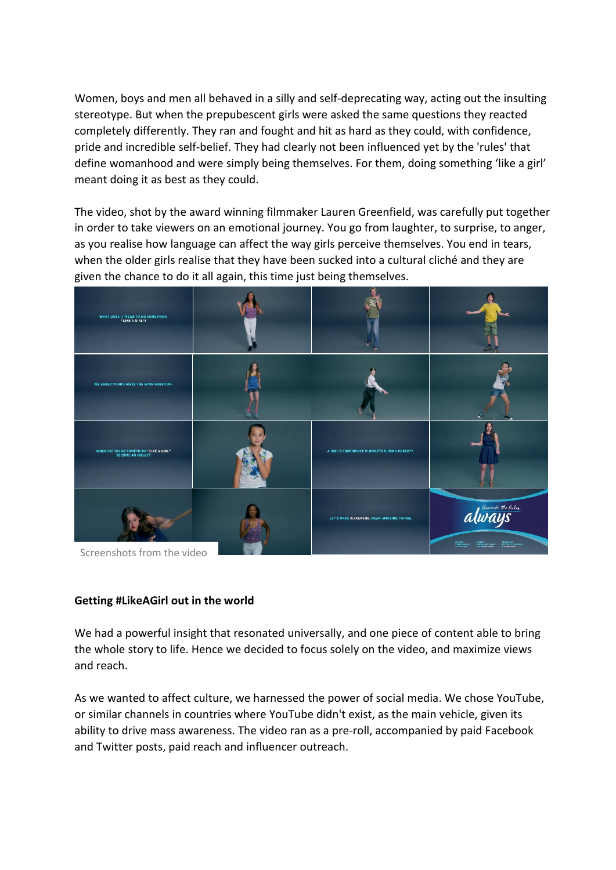Women, boys and men all behaved in a silly and self-deprecating way, acting out the insulting stereotype. But when the prepubescent girls were asked the same questions they reacted completely differently. They ran and fought and hit as hard as they could, with confidence, pride and incredible self-belief. They had clearly not been influenced yet by the 'rules' that define womanhood and were simply being themselves. For them, doing something 'like a girl' meant doing it as best as they could.

The video, shot by the award winning filmmaker Lauren Greenfield, was carefully put together in order to take viewers on an emotional journey. You go from laughter, to surprise, to anger, as you realise how language can affect the way girls perceive themselves. You end in tears, when the older girls realise that they have been sucked into a cultural cliché and they are given the chance to do it all again, this time just being themselves.



Screenshots from the video

#### **Getting #LikeAGirl out in the world**

We had a powerful insight that resonated universally, and one piece of content able to bring the whole story to life. Hence we decided to focus solely on the video, and maximize views and reach.

As we wanted to affect culture, we harnessed the power of social media. We chose YouTube, or similar channels in countries where YouTube didn't exist, as the main vehicle, given its ability to drive mass awareness. The video ran as a pre-roll, accompanied by paid Facebook and Twitter posts, paid reach and influencer outreach.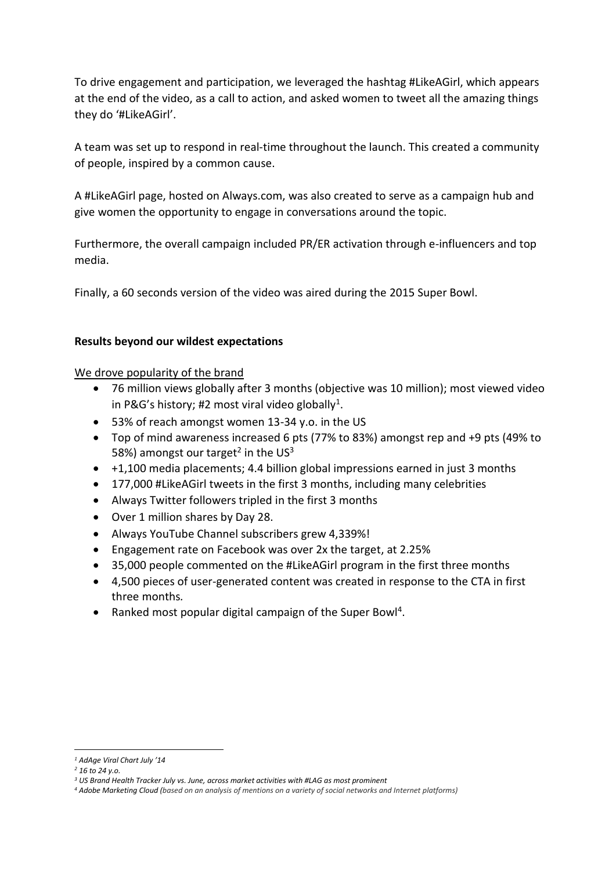To drive engagement and participation, we leveraged the hashtag #LikeAGirl, which appears at the end of the video, as a call to action, and asked women to tweet all the amazing things they do '#LikeAGirl'.

A team was set up to respond in real-time throughout the launch. This created a community of people, inspired by a common cause.

A #LikeAGirl page, hosted on Always.com, was also created to serve as a campaign hub and give women the opportunity to engage in conversations around the topic.

Furthermore, the overall campaign included PR/ER activation through e-influencers and top media.

Finally, a 60 seconds version of the video was aired during the 2015 Super Bowl.

## **Results beyond our wildest expectations**

We drove popularity of the brand

- 76 million views globally after 3 months (objective was 10 million); most viewed video in P&G's history; #2 most viral video globally<sup>1</sup>.
- 53% of reach amongst women 13-34 y.o. in the US
- Top of mind awareness increased 6 pts (77% to 83%) amongst rep and +9 pts (49% to 58%) amongst our target<sup>2</sup> in the US<sup>3</sup>
- +1,100 media placements; 4.4 billion global impressions earned in just 3 months
- 177,000 #LikeAGirl tweets in the first 3 months, including many celebrities
- Always Twitter followers tripled in the first 3 months
- Over 1 million shares by Day 28.
- Always YouTube Channel subscribers grew 4,339%!
- Engagement rate on Facebook was over 2x the target, at 2.25%
- 35,000 people commented on the #LikeAGirl program in the first three months
- 4,500 pieces of user-generated content was created in response to the CTA in first three months*.*
- Ranked most popular digital campaign of the Super Bowl<sup>4</sup>.

**<sup>.</sup>** *<sup>1</sup> AdAge Viral Chart July '14*

*<sup>2</sup> 16 to 24 y.o.*

*<sup>3</sup> US Brand Health Tracker July vs. June, across market activities with #LAG as most prominent*

*<sup>4</sup> Adobe Marketing Cloud (based on an analysis of mentions on a variety of social networks and Internet platforms)*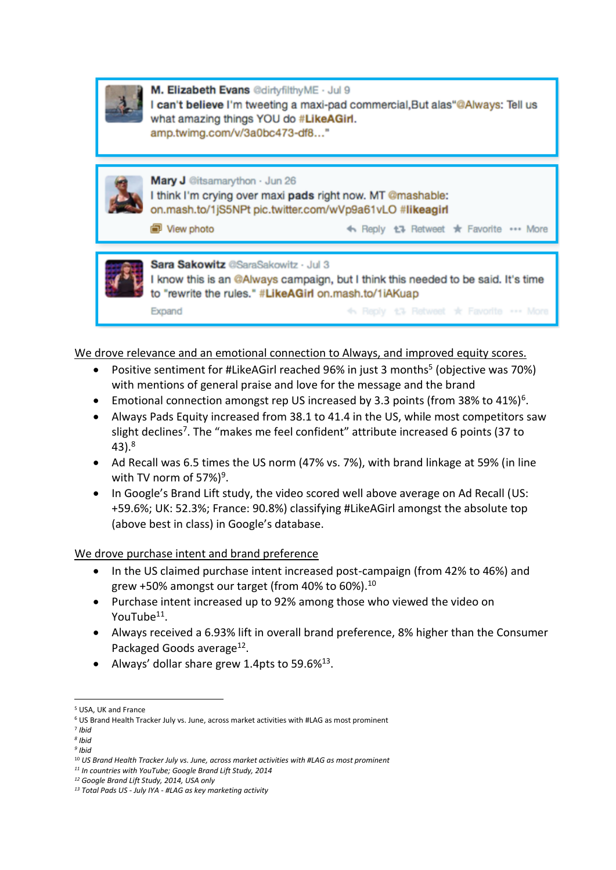

M. Elizabeth Evans @dirtyfilthyME · Jul 9 I can't believe I'm tweeting a maxi-pad commercial, But alas "@Always: Tell us what amazing things YOU do #LikeAGirl. amp.twimg.com/v/3a0bc473-df8..."



Mary J @itsamarython · Jun 26 I think I'm crying over maxi pads right now. MT @mashable: on.mash.to/1jS5NPt pic.twitter.com/wVp9a61vLO #likeagirl

View photo

← Reply t7 Retweet \* Favorite ••• More



Sara Sakowitz @SaraSakowitz · Jul 3 I know this is an @Always campaign, but I think this needed to be said. It's time to "rewrite the rules." #LikeAGirl on.mash.to/1iAKuap 4. Reply 13 Retweet \* Favorite \*\*\* More Expand

We drove relevance and an emotional connection to Always, and improved equity scores.

- Positive sentiment for #LikeAGirl reached 96% in just 3 months<sup>5</sup> (objective was 70%) with mentions of general praise and love for the message and the brand
- Emotional connection amongst rep US increased by 3.3 points (from 38% to 41%)<sup>6</sup>.
- Always Pads Equity increased from 38.1 to 41.4 in the US, while most competitors saw slight declines<sup>7</sup>. The "makes me feel confident" attribute increased 6 points (37 to 43). 8
- Ad Recall was 6.5 times the US norm (47% vs. 7%), with brand linkage at 59% (in line with TV norm of  $57\%)^9$ .
- In Google's Brand Lift study, the video scored well above average on Ad Recall (US: +59.6%; UK: 52.3%; France: 90.8%) classifying #LikeAGirl amongst the absolute top (above best in class) in Google's database.

### We drove purchase intent and brand preference

- In the US claimed purchase intent increased post-campaign (from 42% to 46%) and grew +50% amongst our target (from 40% to 60%). $^{10}$
- Purchase intent increased up to 92% among those who viewed the video on YouTube<sup>11</sup>.
- Always received a 6.93% lift in overall brand preference, 8% higher than the Consumer Packaged Goods average<sup>12</sup>.
- Always' dollar share grew 1.4pts to 59.6% $^{13}$ .

**.** 

<sup>5</sup> USA, UK and France

<sup>6</sup> US Brand Health Tracker July vs. June, across market activities with #LAG as most prominent

<sup>7</sup> *Ibid*

*<sup>8</sup> Ibid*

*<sup>9</sup> Ibid*

<sup>10</sup> *US Brand Health Tracker July vs. June, across market activities with #LAG as most prominent*

*<sup>11</sup> In countries with YouTube; Google Brand Lift Study, 2014*

*<sup>12</sup> Google Brand Lift Study, 2014, USA only*

*<sup>13</sup> Total Pads US - July IYA - #LAG as key marketing activity*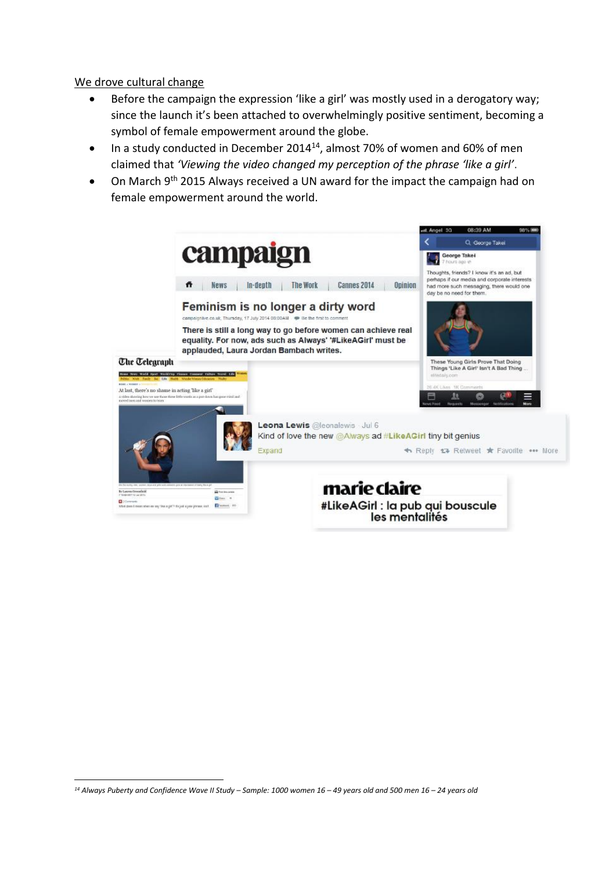### We drove cultural change

- Before the campaign the expression 'like a girl' was mostly used in a derogatory way; since the launch it's been attached to overwhelmingly positive sentiment, becoming a symbol of female empowerment around the globe.
- In a study conducted in December 2014<sup>14</sup>, almost 70% of women and 60% of men claimed that *'Viewing the video changed my perception of the phrase 'like a girl'*.
- On March 9<sup>th</sup> 2015 Always received a UN award for the impact the campaign had on female empowerment around the world.



 $\overline{a}$ *<sup>14</sup> Always Puberty and Confidence Wave II Study – Sample: 1000 women 16 – 49 years old and 500 men 16 – 24 years old*